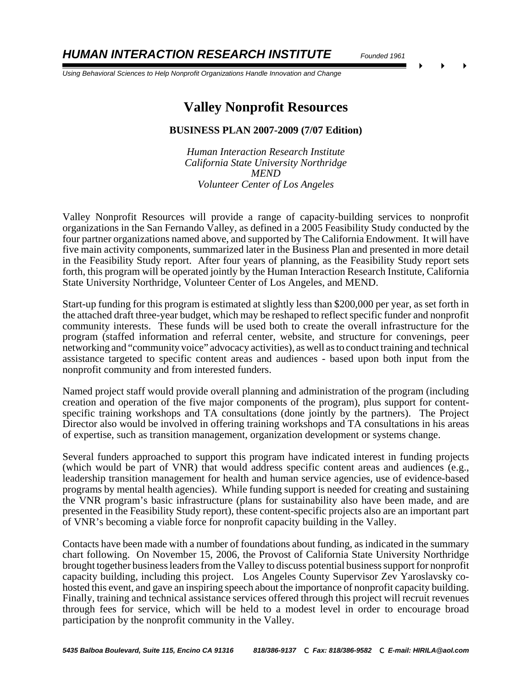*HUMAN INTERACTION RESEARCH INSTITUTE Founded 1961*

 *Using Behavioral Sciences to Help Nonprofit Organizations Handle Innovation and Change*

# **Valley Nonprofit Resources**

#### **BUSINESS PLAN 2007-2009 (7/07 Edition)**

*Human Interaction Research Institute California State University Northridge MEND Volunteer Center of Los Angeles*

Valley Nonprofit Resources will provide a range of capacity-building services to nonprofit organizations in the San Fernando Valley, as defined in a 2005 Feasibility Study conducted by the four partner organizations named above, and supported by The California Endowment. It will have five main activity components, summarized later in the Business Plan and presented in more detail in the Feasibility Study report. After four years of planning, as the Feasibility Study report sets forth, this program will be operated jointly by the Human Interaction Research Institute, California State University Northridge, Volunteer Center of Los Angeles, and MEND.

Start-up funding for this program is estimated at slightly less than \$200,000 per year, as set forth in the attached draft three-year budget, which may be reshaped to reflect specific funder and nonprofit community interests. These funds will be used both to create the overall infrastructure for the program (staffed information and referral center, website, and structure for convenings, peer networking and "community voice" advocacy activities), as well as to conduct training and technical assistance targeted to specific content areas and audiences - based upon both input from the nonprofit community and from interested funders.

Named project staff would provide overall planning and administration of the program (including creation and operation of the five major components of the program), plus support for contentspecific training workshops and TA consultations (done jointly by the partners). The Project Director also would be involved in offering training workshops and TA consultations in his areas of expertise, such as transition management, organization development or systems change.

Several funders approached to support this program have indicated interest in funding projects (which would be part of VNR) that would address specific content areas and audiences (e.g., leadership transition management for health and human service agencies, use of evidence-based programs by mental health agencies). While funding support is needed for creating and sustaining the VNR program's basic infrastructure (plans for sustainability also have been made, and are presented in the Feasibility Study report), these content-specific projects also are an important part of VNR's becoming a viable force for nonprofit capacity building in the Valley.

Contacts have been made with a number of foundations about funding, as indicated in the summary chart following. On November 15, 2006, the Provost of California State University Northridge brought together business leaders from the Valley to discuss potential business support for nonprofit capacity building, including this project. Los Angeles County Supervisor Zev Yaroslavsky cohosted this event, and gave an inspiring speech about the importance of nonprofit capacity building. Finally, training and technical assistance services offered through this project will recruit revenues through fees for service, which will be held to a modest level in order to encourage broad participation by the nonprofit community in the Valley.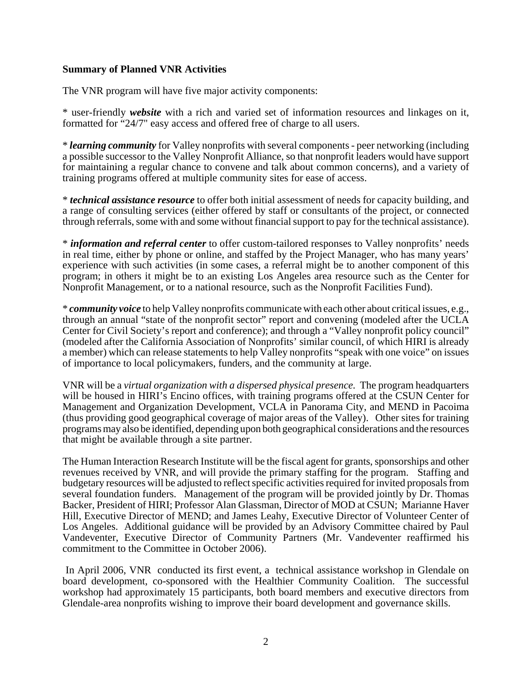#### **Summary of Planned VNR Activities**

The VNR program will have five major activity components:

\* user-friendly *website* with a rich and varied set of information resources and linkages on it, formatted for "24/7" easy access and offered free of charge to all users.

\* *learning community* for Valley nonprofits with several components - peer networking (including a possible successor to the Valley Nonprofit Alliance, so that nonprofit leaders would have support for maintaining a regular chance to convene and talk about common concerns), and a variety of training programs offered at multiple community sites for ease of access.

\* *technical assistance resource* to offer both initial assessment of needs for capacity building, and a range of consulting services (either offered by staff or consultants of the project, or connected through referrals, some with and some without financial support to pay for the technical assistance).

\* *information and referral center* to offer custom-tailored responses to Valley nonprofits' needs in real time, either by phone or online, and staffed by the Project Manager, who has many years' experience with such activities (in some cases, a referral might be to another component of this program; in others it might be to an existing Los Angeles area resource such as the Center for Nonprofit Management, or to a national resource, such as the Nonprofit Facilities Fund).

\* *community voice* to help Valley nonprofits communicate with each other about critical issues, e.g., through an annual "state of the nonprofit sector" report and convening (modeled after the UCLA Center for Civil Society's report and conference); and through a "Valley nonprofit policy council" (modeled after the California Association of Nonprofits' similar council, of which HIRI is already a member) which can release statements to help Valley nonprofits "speak with one voice" on issues of importance to local policymakers, funders, and the community at large.

VNR will be a *virtual organization with a dispersed physical presence.* The program headquarters will be housed in HIRI's Encino offices, with training programs offered at the CSUN Center for Management and Organization Development, VCLA in Panorama City, and MEND in Pacoima (thus providing good geographical coverage of major areas of the Valley). Other sites for training programs may also be identified, depending upon both geographical considerations and the resources that might be available through a site partner.

The Human Interaction Research Institute will be the fiscal agent for grants, sponsorships and other revenues received by VNR, and will provide the primary staffing for the program. Staffing and budgetary resources will be adjusted to reflect specific activities required for invited proposals from several foundation funders. Management of the program will be provided jointly by Dr. Thomas Backer, President of HIRI; Professor Alan Glassman, Director of MOD at CSUN; Marianne Haver Hill, Executive Director of MEND; and James Leahy, Executive Director of Volunteer Center of Los Angeles. Additional guidance will be provided by an Advisory Committee chaired by Paul Vandeventer, Executive Director of Community Partners (Mr. Vandeventer reaffirmed his commitment to the Committee in October 2006).

 In April 2006, VNR conducted its first event, a technical assistance workshop in Glendale on board development, co-sponsored with the Healthier Community Coalition. The successful workshop had approximately 15 participants, both board members and executive directors from Glendale-area nonprofits wishing to improve their board development and governance skills.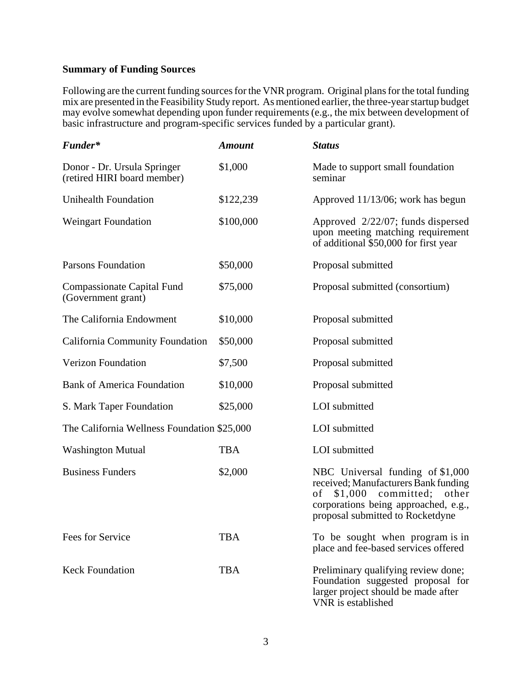# **Summary of Funding Sources**

Following are the current funding sources for the VNR program. Original plans for the total funding mix are presented in the Feasibility Study report. As mentioned earlier, the three-year startup budget may evolve somewhat depending upon funder requirements (e.g., the mix between development of basic infrastructure and program-specific services funded by a particular grant).

| Funder*                                                    | <b>Amount</b> | <b>Status</b>                                                                                                                                                                              |
|------------------------------------------------------------|---------------|--------------------------------------------------------------------------------------------------------------------------------------------------------------------------------------------|
| Donor - Dr. Ursula Springer<br>(retired HIRI board member) | \$1,000       | Made to support small foundation<br>seminar                                                                                                                                                |
| <b>Unihealth Foundation</b>                                | \$122,239     | Approved 11/13/06; work has begun                                                                                                                                                          |
| <b>Weingart Foundation</b>                                 | \$100,000     | Approved 2/22/07; funds dispersed<br>upon meeting matching requirement<br>of additional \$50,000 for first year                                                                            |
| <b>Parsons Foundation</b>                                  | \$50,000      | Proposal submitted                                                                                                                                                                         |
| Compassionate Capital Fund<br>(Government grant)           | \$75,000      | Proposal submitted (consortium)                                                                                                                                                            |
| The California Endowment                                   | \$10,000      | Proposal submitted                                                                                                                                                                         |
| <b>California Community Foundation</b>                     | \$50,000      | Proposal submitted                                                                                                                                                                         |
| <b>Verizon Foundation</b>                                  | \$7,500       | Proposal submitted                                                                                                                                                                         |
| <b>Bank of America Foundation</b>                          | \$10,000      | Proposal submitted                                                                                                                                                                         |
| S. Mark Taper Foundation                                   | \$25,000      | LOI submitted                                                                                                                                                                              |
| The California Wellness Foundation \$25,000                |               | LOI submitted                                                                                                                                                                              |
| <b>Washington Mutual</b>                                   | <b>TBA</b>    | LOI submitted                                                                                                                                                                              |
| <b>Business Funders</b>                                    | \$2,000       | NBC Universal funding of \$1,000<br>received; Manufacturers Bank funding<br>$$1,000$ committed;<br>of<br>other<br>corporations being approached, e.g.,<br>proposal submitted to Rocketdyne |
| Fees for Service                                           | <b>TBA</b>    | To be sought when program is in<br>place and fee-based services offered                                                                                                                    |
| <b>Keck Foundation</b>                                     | <b>TBA</b>    | Preliminary qualifying review done;<br>Foundation suggested proposal for<br>larger project should be made after<br>VNR is established                                                      |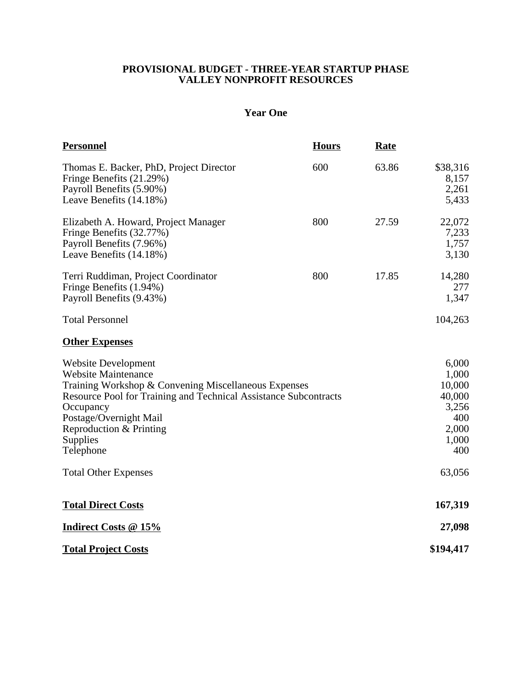### **PROVISIONAL BUDGET - THREE-YEAR STARTUP PHASE VALLEY NONPROFIT RESOURCES**

# **Year One**

| <b>Personnel</b>                                                                                                                                                                                                                                                                | <b>Hours</b> | <b>Rate</b>                                                                 |                                     |
|---------------------------------------------------------------------------------------------------------------------------------------------------------------------------------------------------------------------------------------------------------------------------------|--------------|-----------------------------------------------------------------------------|-------------------------------------|
| Thomas E. Backer, PhD, Project Director<br>Fringe Benefits (21.29%)<br>Payroll Benefits (5.90%)<br>Leave Benefits (14.18%)                                                                                                                                                      | 600          | 63.86                                                                       | \$38,316<br>8,157<br>2,261<br>5,433 |
| Elizabeth A. Howard, Project Manager<br>Fringe Benefits (32.77%)<br>Payroll Benefits (7.96%)<br>Leave Benefits (14.18%)                                                                                                                                                         | 800          | 27.59                                                                       | 22,072<br>7,233<br>1,757<br>3,130   |
| Terri Ruddiman, Project Coordinator<br>Fringe Benefits (1.94%)<br>Payroll Benefits (9.43%)                                                                                                                                                                                      | 800          | 17.85                                                                       | 14,280<br>277<br>1,347              |
| <b>Total Personnel</b>                                                                                                                                                                                                                                                          |              |                                                                             | 104,263                             |
| <b>Other Expenses</b>                                                                                                                                                                                                                                                           |              |                                                                             |                                     |
| <b>Website Development</b><br><b>Website Maintenance</b><br>Training Workshop & Convening Miscellaneous Expenses<br>Resource Pool for Training and Technical Assistance Subcontracts<br>Occupancy<br>Postage/Overnight Mail<br>Reproduction & Printing<br>Supplies<br>Telephone |              | 6,000<br>1,000<br>10,000<br>40,000<br>3,256<br>400<br>2,000<br>1,000<br>400 |                                     |
| <b>Total Other Expenses</b>                                                                                                                                                                                                                                                     |              |                                                                             | 63,056                              |
| <b>Total Direct Costs</b>                                                                                                                                                                                                                                                       |              |                                                                             | 167,319                             |
| <b>Indirect Costs @ 15%</b>                                                                                                                                                                                                                                                     |              |                                                                             | 27,098                              |
| <b>Total Project Costs</b>                                                                                                                                                                                                                                                      |              |                                                                             | \$194,417                           |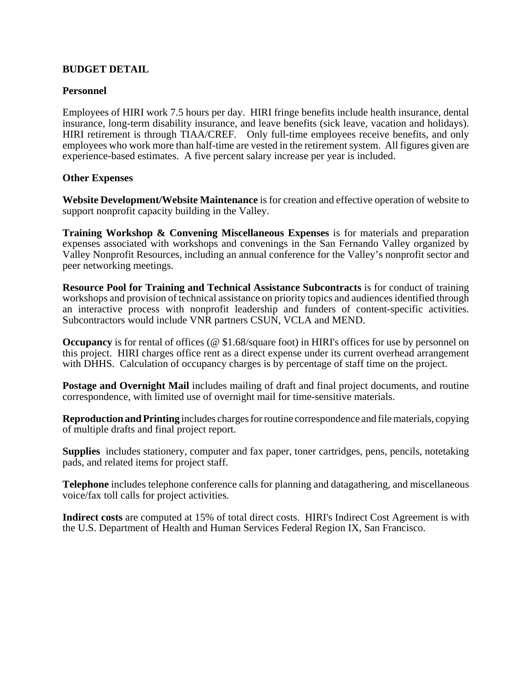### **BUDGET DETAIL**

#### **Personnel**

Employees of HIRI work 7.5 hours per day. HIRI fringe benefits include health insurance, dental insurance, long-term disability insurance, and leave benefits (sick leave, vacation and holidays). HIRI retirement is through TIAA/CREF. Only full-time employees receive benefits, and only employees who work more than half-time are vested in the retirement system. All figures given are experience-based estimates. A five percent salary increase per year is included.

#### **Other Expenses**

**Website Development/Website Maintenance** is for creation and effective operation of website to support nonprofit capacity building in the Valley.

**Training Workshop & Convening Miscellaneous Expenses** is for materials and preparation expenses associated with workshops and convenings in the San Fernando Valley organized by Valley Nonprofit Resources, including an annual conference for the Valley's nonprofit sector and peer networking meetings.

**Resource Pool for Training and Technical Assistance Subcontracts** is for conduct of training workshops and provision of technical assistance on priority topics and audiences identified through an interactive process with nonprofit leadership and funders of content-specific activities. Subcontractors would include VNR partners CSUN, VCLA and MEND.

**Occupancy** is for rental of offices (@ \$1.68/square foot) in HIRI's offices for use by personnel on this project. HIRI charges office rent as a direct expense under its current overhead arrangement with DHHS. Calculation of occupancy charges is by percentage of staff time on the project.

**Postage and Overnight Mail** includes mailing of draft and final project documents, and routine correspondence, with limited use of overnight mail for time-sensitive materials.

**Reproduction and Printing** includes charges for routine correspondence and file materials, copying of multiple drafts and final project report.

**Supplies** includes stationery, computer and fax paper, toner cartridges, pens, pencils, notetaking pads, and related items for project staff.

**Telephone** includes telephone conference calls for planning and datagathering, and miscellaneous voice/fax toll calls for project activities.

**Indirect costs** are computed at 15% of total direct costs. HIRI's Indirect Cost Agreement is with the U.S. Department of Health and Human Services Federal Region IX, San Francisco.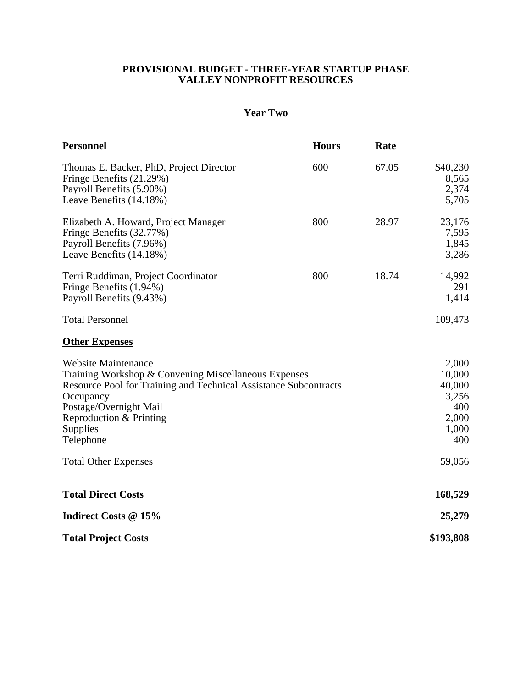### **PROVISIONAL BUDGET - THREE-YEAR STARTUP PHASE VALLEY NONPROFIT RESOURCES**

# **Year Two**

| <b>Personnel</b>                                                                                                                                                                                                                                  | <b>Hours</b> | <b>Rate</b>                                                        |                                     |
|---------------------------------------------------------------------------------------------------------------------------------------------------------------------------------------------------------------------------------------------------|--------------|--------------------------------------------------------------------|-------------------------------------|
| Thomas E. Backer, PhD, Project Director<br>Fringe Benefits (21.29%)<br>Payroll Benefits (5.90%)<br>Leave Benefits (14.18%)                                                                                                                        | 600          | 67.05                                                              | \$40,230<br>8,565<br>2,374<br>5,705 |
| Elizabeth A. Howard, Project Manager<br>Fringe Benefits (32.77%)<br>Payroll Benefits (7.96%)<br>Leave Benefits (14.18%)                                                                                                                           | 800          | 28.97                                                              | 23,176<br>7,595<br>1,845<br>3,286   |
| Terri Ruddiman, Project Coordinator<br>Fringe Benefits (1.94%)<br>Payroll Benefits (9.43%)                                                                                                                                                        | 800          | 18.74                                                              | 14,992<br>291<br>1,414              |
| <b>Total Personnel</b>                                                                                                                                                                                                                            |              |                                                                    | 109,473                             |
| <b>Other Expenses</b>                                                                                                                                                                                                                             |              |                                                                    |                                     |
| <b>Website Maintenance</b><br>Training Workshop & Convening Miscellaneous Expenses<br>Resource Pool for Training and Technical Assistance Subcontracts<br>Occupancy<br>Postage/Overnight Mail<br>Reproduction & Printing<br>Supplies<br>Telephone |              | 2,000<br>10,000<br>40,000<br>3,256<br>400<br>2,000<br>1,000<br>400 |                                     |
| <b>Total Other Expenses</b>                                                                                                                                                                                                                       |              |                                                                    | 59,056                              |
| <b>Total Direct Costs</b>                                                                                                                                                                                                                         |              |                                                                    | 168,529                             |
| Indirect Costs @ 15%                                                                                                                                                                                                                              |              |                                                                    | 25,279                              |
| <b>Total Project Costs</b>                                                                                                                                                                                                                        |              |                                                                    | \$193,808                           |